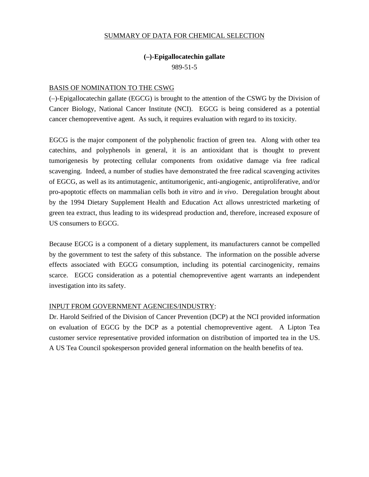#### SUMMARY OF DATA FOR CHEMICAL SELECTION

## **(–)-Epigallocatechin gallate**

989-51-5

## BASIS OF NOMINATION TO THE CSWG

(–)-Epigallocatechin gallate (EGCG) is brought to the attention of the CSWG by the Division of Cancer Biology, National Cancer Institute (NCI). EGCG is being considered as a potential cancer chemopreventive agent. As such, it requires evaluation with regard to its toxicity.

EGCG is the major component of the polyphenolic fraction of green tea. Along with other tea catechins, and polyphenols in general, it is an antioxidant that is thought to prevent tumorigenesis by protecting cellular components from oxidative damage via free radical scavenging. Indeed, a number of studies have demonstrated the free radical scavenging activites of EGCG, as well as its antimutagenic, antitumorigenic, anti-angiogenic, antiproliferative, and/or pro-apoptotic effects on mammalian cells both *in vitro* and *in vivo*. Deregulation brought about by the 1994 Dietary Supplement Health and Education Act allows unrestricted marketing of green tea extract, thus leading to its widespread production and, therefore, increased exposure of US consumers to EGCG.

Because EGCG is a component of a dietary supplement, its manufacturers cannot be compelled by the government to test the safety of this substance. The information on the possible adverse effects associated with EGCG consumption, including its potential carcinogenicity, remains scarce. EGCG consideration as a potential chemopreventive agent warrants an independent investigation into its safety.

## INPUT FROM GOVERNMENT AGENCIES/INDUSTRY:

Dr. Harold Seifried of the Division of Cancer Prevention (DCP) at the NCI provided information on evaluation of EGCG by the DCP as a potential chemopreventive agent. A Lipton Tea customer service representative provided information on distribution of imported tea in the US. A US Tea Council spokesperson provided general information on the health benefits of tea.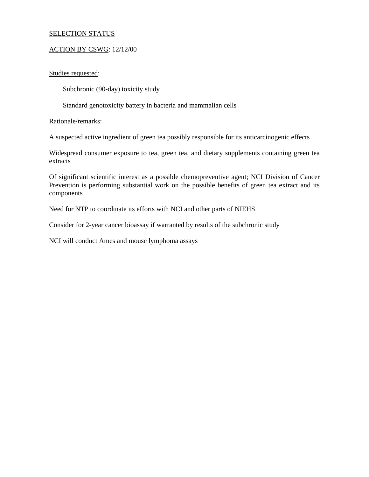#### SELECTION STATUS

#### ACTION BY CSWG: 12/12/00

## Studies requested:

Subchronic (90-day) toxicity study

Standard genotoxicity battery in bacteria and mammalian cells

#### Rationale/remarks:

A suspected active ingredient of green tea possibly responsible for its anticarcinogenic effects

Widespread consumer exposure to tea, green tea, and dietary supplements containing green tea extracts

Of significant scientific interest as a possible chemopreventive agent; NCI Division of Cancer Prevention is performing substantial work on the possible benefits of green tea extract and its components

Need for NTP to coordinate its efforts with NCI and other parts of NIEHS

Consider for 2-year cancer bioassay if warranted by results of the subchronic study

NCI will conduct Ames and mouse lymphoma assays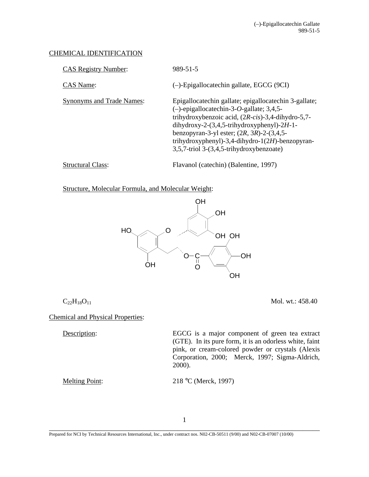## CHEMICAL IDENTIFICATION

| <b>CAS Registry Number:</b>      | 989-51-5                                                                                                                                                                                                                                                                                                                                                                   |
|----------------------------------|----------------------------------------------------------------------------------------------------------------------------------------------------------------------------------------------------------------------------------------------------------------------------------------------------------------------------------------------------------------------------|
| CAS Name:                        | $(-)$ -Epigallocatechin gallate, EGCG (9CI)                                                                                                                                                                                                                                                                                                                                |
| <b>Synonyms and Trade Names:</b> | Epigallocatechin gallate; epigallocatechin 3-gallate;<br>$(-)$ -epigallocatechin-3-O-gallate; 3,4,5-<br>trihydroxybenzoic acid, $(2R\text{-}cis)$ -3,4-dihydro-5,7-<br>dihydroxy-2- $(3,4,5$ -trihydroxyphenyl)-2H-1-<br>benzopyran-3-yl ester; $(2R, 3R)$ -2- $(3, 4, 5$ -<br>trihydroxyphenyl)-3,4-dihydro-1(2H)-benzopyran-<br>3,5,7-triol 3-(3,4,5-trihydroxybenzoate) |
| <b>Structural Class:</b>         | Flavanol (catechin) (Balentine, 1997)                                                                                                                                                                                                                                                                                                                                      |

Structure, Molecular Formula, and Molecular Weight:



 $C_{22}H_{18}O_{11}$  Mol. wt.: 458.40

Chemical and Physical Properties:

Description: EGCG is a major component of green tea extract (GTE). In its pure form, it is an odorless white, faint pink, or cream-colored powder or crystals (Alexis Corporation, 2000; Merck, 1997; Sigma-Aldrich, 2000).

Melting Point: 218 °C (Merck, 1997)

1

\_\_\_\_\_\_\_\_\_\_\_\_\_\_\_\_\_\_\_\_\_\_\_\_\_\_\_\_\_\_\_\_\_\_\_\_\_\_\_\_\_\_\_\_\_\_\_\_\_\_\_\_\_\_\_\_\_\_\_\_\_\_\_\_\_\_\_\_\_\_\_\_\_\_\_\_\_\_ Prepared for NCI by Technical Resources International, Inc., under contract nos. N02-CB-50511 (9/00) and N02-CB-07007 (10/00)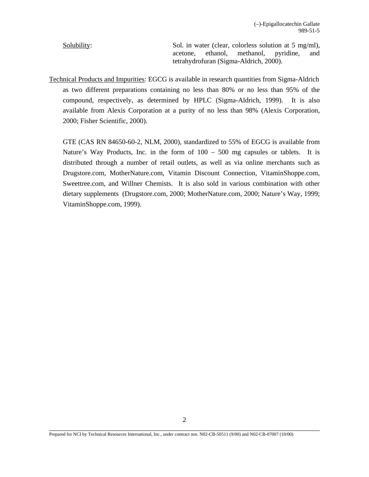Solubility: Solubility: Sol. in water (clear, colorless solution at 5 mg/ml), acetone, ethanol, methanol, pyridine, and tetrahydrofuran (Sigma-Aldrich, 2000).

Technical Products and Impurities: EGCG is available in research quantities from Sigma-Aldrich as two different preparations containing no less than 80% or no less than 95% of the compound, respectively, as determined by HPLC (Sigma-Aldrich, 1999). It is also available from Alexis Corporation at a purity of no less than 98% (Alexis Corporation, 2000; Fisher Scientific, 2000).

GTE (CAS RN 84650-60-2, NLM, 2000), standardized to 55% of EGCG is available from Nature's Way Products, Inc. in the form of 100 – 500 mg capsules or tablets. It is distributed through a number of retail outlets, as well as via online merchants such as Drugstore.com, MotherNature.com, Vitamin Discount Connection, VitaminShoppe.com, Sweettree.com, and Willner Chemists. It is also sold in various combination with other dietary supplements (Drugstore.com, 2000; MotherNature.com, 2000; Nature's Way, 1999; VitaminShoppe.com, 1999).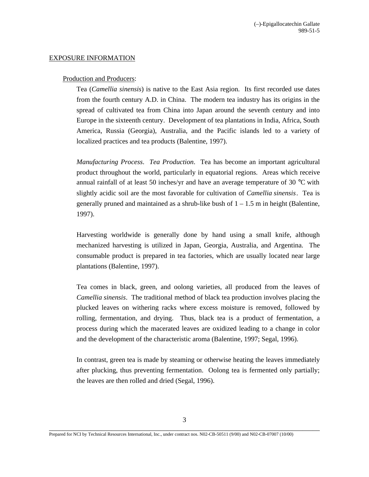## EXPOSURE INFORMATION

#### Production and Producers:

Tea (*Camellia sinensis*) is native to the East Asia region. Its first recorded use dates from the fourth century A.D. in China. The modern tea industry has its origins in the spread of cultivated tea from China into Japan around the seventh century and into Europe in the sixteenth century. Development of tea plantations in India, Africa, South America, Russia (Georgia), Australia, and the Pacific islands led to a variety of localized practices and tea products (Balentine, 1997).

*Manufacturing Process*. *Tea Production*. Tea has become an important agricultural product throughout the world, particularly in equatorial regions. Areas which receive annual rainfall of at least 50 inches/yr and have an average temperature of 30 °C with slightly acidic soil are the most favorable for cultivation of *Camellia sinensis*. Tea is generally pruned and maintained as a shrub-like bush of  $1 - 1.5$  m in height (Balentine, 1997).

Harvesting worldwide is generally done by hand using a small knife, although mechanized harvesting is utilized in Japan, Georgia, Australia, and Argentina. The consumable product is prepared in tea factories, which are usually located near large plantations (Balentine, 1997).

 *Camellia sinensis*. The traditional method of black tea production involves placing the Tea comes in black, green, and oolong varieties, all produced from the leaves of plucked leaves on withering racks where excess moisture is removed, followed by rolling, fermentation, and drying. Thus, black tea is a product of fermentation, a process during which the macerated leaves are oxidized leading to a change in color and the development of the characteristic aroma (Balentine, 1997; Segal, 1996).

In contrast, green tea is made by steaming or otherwise heating the leaves immediately after plucking, thus preventing fermentation. Oolong tea is fermented only partially; the leaves are then rolled and dried (Segal, 1996).

Prepared for NCI by Technical Resources International, Inc., under contract nos. N02-CB-50511 (9/00) and N02-CB-07007 (10/00)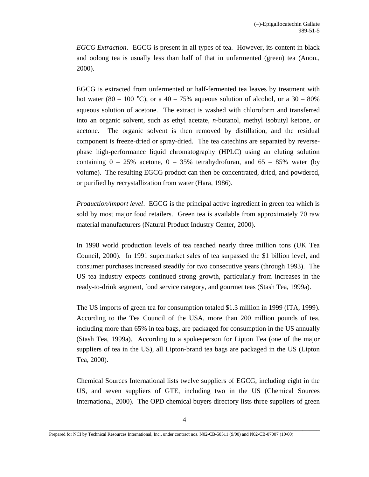*EGCG Extraction*. EGCG is present in all types of tea. However, its content in black and oolong tea is usually less than half of that in unfermented (green) tea (Anon., 2000).

EGCG is extracted from unfermented or half-fermented tea leaves by treatment with hot water (80 – 100 °C), or a 40 – 75% aqueous solution of alcohol, or a  $30 - 80\%$ aqueous solution of acetone. The extract is washed with chloroform and transferred into an organic solvent, such as ethyl acetate, *n*-butanol, methyl isobutyl ketone, or acetone. The organic solvent is then removed by distillation, and the residual component is freeze-dried or spray-dried. The tea catechins are separated by reversephase high-performance liquid chromatography (HPLC) using an eluting solution containing  $0 - 25\%$  acetone,  $0 - 35\%$  tetrahydrofuran, and  $65 - 85\%$  water (by volume). The resulting EGCG product can then be concentrated, dried, and powdered, or purified by recrystallization from water (Hara, 1986).

*Production/import level.* EGCG is the principal active ingredient in green tea which is sold by most major food retailers. Green tea is available from approximately 70 raw material manufacturers (Natural Product Industry Center, 2000).

In 1998 world production levels of tea reached nearly three million tons (UK Tea Council, 2000). In 1991 supermarket sales of tea surpassed the \$1 billion level, and consumer purchases increased steadily for two consecutive years (through 1993). The US tea industry expects continued strong growth, particularly from increases in the ready-to-drink segment, food service category, and gourmet teas (Stash Tea, 1999a).

The US imports of green tea for consumption totaled \$1.3 million in 1999 (ITA, 1999). According to the Tea Council of the USA, more than 200 million pounds of tea, including more than 65% in tea bags, are packaged for consumption in the US annually (Stash Tea, 1999a). According to a spokesperson for Lipton Tea (one of the major suppliers of tea in the US), all Lipton-brand tea bags are packaged in the US (Lipton Tea, 2000).

Chemical Sources International lists twelve suppliers of EGCG, including eight in the US, and seven suppliers of GTE, including two in the US (Chemical Sources International, 2000). The OPD chemical buyers directory lists three suppliers of green

Prepared for NCI by Technical Resources International, Inc., under contract nos. N02-CB-50511 (9/00) and N02-CB-07007 (10/00)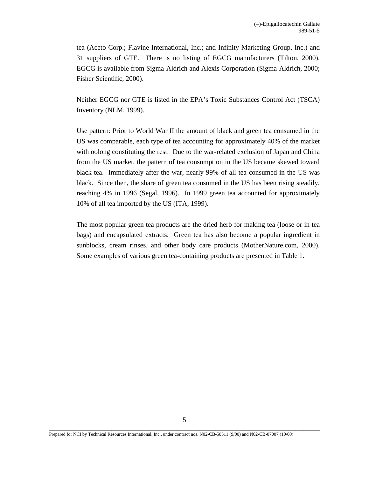tea (Aceto Corp.; Flavine International, Inc.; and Infinity Marketing Group, Inc.) and 31 suppliers of GTE. There is no listing of EGCG manufacturers (Tilton, 2000). EGCG is available from Sigma-Aldrich and Alexis Corporation (Sigma-Aldrich, 2000; Fisher Scientific, 2000).

Neither EGCG nor GTE is listed in the EPA's Toxic Substances Control Act (TSCA) Inventory (NLM, 1999).

Use pattern: Prior to World War II the amount of black and green tea consumed in the US was comparable, each type of tea accounting for approximately 40% of the market with oolong constituting the rest. Due to the war-related exclusion of Japan and China from the US market, the pattern of tea consumption in the US became skewed toward black tea. Immediately after the war, nearly 99% of all tea consumed in the US was black. Since then, the share of green tea consumed in the US has been rising steadily, reaching 4% in 1996 (Segal, 1996). In 1999 green tea accounted for approximately 10% of all tea imported by the US (ITA, 1999).

The most popular green tea products are the dried herb for making tea (loose or in tea bags) and encapsulated extracts. Green tea has also become a popular ingredient in sunblocks, cream rinses, and other body care products (MotherNature.com, 2000). Some examples of various green tea-containing products are presented in Table 1.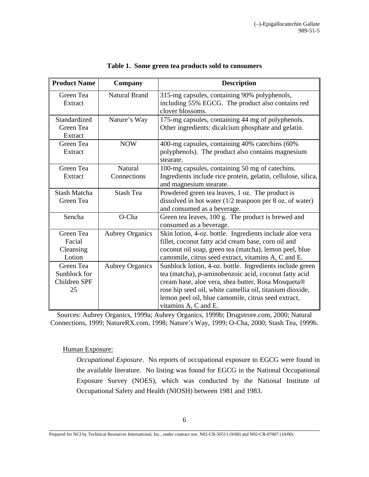| <b>Product Name</b>  | Company                | <b>Description</b>                                                                                |
|----------------------|------------------------|---------------------------------------------------------------------------------------------------|
| Green Tea<br>Extract | <b>Natural Brand</b>   | 315-mg capsules, containing 90% polyphenols,<br>including 55% EGCG. The product also contains red |
|                      |                        | clover blossoms.                                                                                  |
| Standardized         | Nature's Way           | 175-mg capsules, containing 44 mg of polyphenols.                                                 |
| Green Tea            |                        | Other ingredients: dicalcium phosphate and gelatin.                                               |
| Extract              |                        |                                                                                                   |
| Green Tea            | <b>NOW</b>             | 400-mg capsules, containing 40% catechins (60%                                                    |
| Extract              |                        | polyphenols). The product also contains magnesium                                                 |
|                      |                        | stearate.                                                                                         |
| Green Tea            | <b>Natural</b>         | 100-mg capsules, containing 50 mg of catechins.                                                   |
| Extract              | Connections            | Ingredients include rice protein, gelatin, cellulose, silica,                                     |
|                      |                        | and magnesium stearate.                                                                           |
| <b>Stash Matcha</b>  | <b>Stash Tea</b>       | Powdered green tea leaves, 1 oz. The product is                                                   |
| Green Tea            |                        | dissolved in hot water $(1/2)$ teaspoon per 8 oz. of water)                                       |
|                      |                        | and consumed as a beverage.                                                                       |
| Sencha               | O-Cha                  | Green tea leaves, 100 g. The product is brewed and                                                |
|                      |                        | consumed as a beverage.                                                                           |
| Green Tea            | <b>Aubrey Organics</b> | Skin lotion, 4-oz. bottle. Ingredients include aloe vera                                          |
| Facial               |                        | fillet, coconut fatty acid cream base, corn oil and                                               |
| Cleansing            |                        | coconut oil soap, green tea (matcha), lemon peel, blue                                            |
| Lotion               |                        | camomile, citrus seed extract, vitamins A, C and E.                                               |
| Green Tea            | <b>Aubrey Organics</b> | Sunblock lotion, 4-oz. bottle. Ingredients include green                                          |
| Sunblock for         |                        | tea (matcha), p-aminobenzoic acid, coconut fatty acid                                             |
| Children SPF         |                        | cream base, aloe vera, shea butter, Rosa Mosqueta®                                                |
| 25                   |                        | rose hip seed oil, white camellia oil, titanium dioxide,                                          |
|                      |                        | lemon peel oil, blue camomile, citrus seed extract,                                               |
|                      |                        | vitamins A, C and E.                                                                              |

|  | Table 1. Some green tea products sold to consumers |  |  |
|--|----------------------------------------------------|--|--|
|--|----------------------------------------------------|--|--|

Sources: Aubrey Organics, 1999a; Aubrey Organics, 1999b; Drugstrore.com, 2000; Natural Connections, 1999; NatureRX.com, 1998; Nature's Way, 1999; O-Cha, 2000; Stash Tea, 1999b.

Human Exposure:

*Occupational Exposure*. No reports of occupational exposure to EGCG were found in the available literature. No listing was found for EGCG in the National Occupational Exposure Survey (NOES), which was conducted by the National Institute of Occupational Safety and Health (NIOSH) between 1981 and 1983.

Prepared for NCI by Technical Resources International, Inc., under contract nos. N02-CB-50511 (9/00) and N02-CB-07007 (10/00)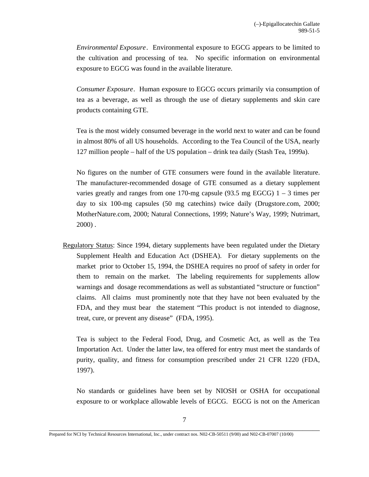*Environmental Exposure*. Environmental exposure to EGCG appears to be limited to the cultivation and processing of tea. No specific information on environmental exposure to EGCG was found in the available literature.

*Consumer Exposure*. Human exposure to EGCG occurs primarily via consumption of tea as a beverage, as well as through the use of dietary supplements and skin care products containing GTE.

Tea is the most widely consumed beverage in the world next to water and can be found in almost 80% of all US households. According to the Tea Council of the USA, nearly 127 million people – half of the US population – drink tea daily (Stash Tea, 1999a).

No figures on the number of GTE consumers were found in the available literature. The manufacturer-recommended dosage of GTE consumed as a dietary supplement varies greatly and ranges from one 170-mg capsule  $(93.5 \text{ mg EGCG})$  1 – 3 times per day to six 100-mg capsules (50 mg catechins) twice daily (Drugstore.com, 2000; MotherNature.com, 2000; Natural Connections, 1999; Nature's Way, 1999; Nutrimart, 2000) .

Regulatory Status: Since 1994, dietary supplements have been regulated under the Dietary Supplement Health and Education Act (DSHEA). For dietary supplements on the market prior to October 15, 1994, the DSHEA requires no proof of safety in order for them to remain on the market. The labeling requirements for supplements allow warnings and dosage recommendations as well as substantiated "structure or function" claims. All claims must prominently note that they have not been evaluated by the FDA, and they must bear the statement "This product is not intended to diagnose, treat, cure, or prevent any disease" (FDA, 1995).

Tea is subject to the Federal Food, Drug, and Cosmetic Act, as well as the Tea Importation Act. Under the latter law, tea offered for entry must meet the standards of purity, quality, and fitness for consumption prescribed under 21 CFR 1220 (FDA, 1997).

No standards or guidelines have been set by NIOSH or OSHA for occupational exposure to or workplace allowable levels of EGCG. EGCG is not on the American

Prepared for NCI by Technical Resources International, Inc., under contract nos. N02-CB-50511 (9/00) and N02-CB-07007 (10/00)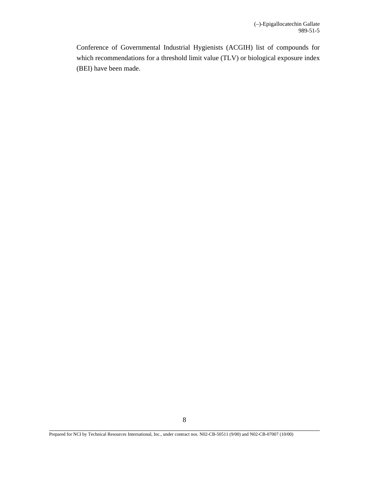Conference of Governmental Industrial Hygienists (ACGIH) list of compounds for which recommendations for a threshold limit value (TLV) or biological exposure index (BEI) have been made.

Prepared for NCI by Technical Resources International, Inc., under contract nos. N02-CB-50511 (9/00) and N02-CB-07007 (10/00)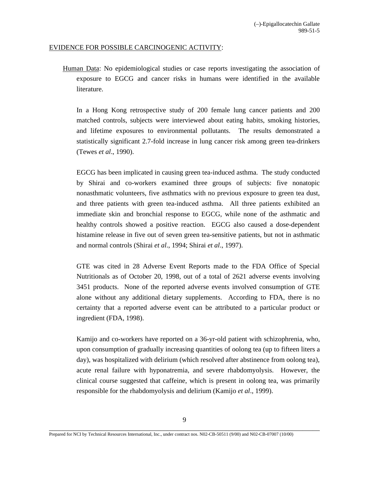#### EVIDENCE FOR POSSIBLE CARCINOGENIC ACTIVITY:

Human Data: No epidemiological studies or case reports investigating the association of exposure to EGCG and cancer risks in humans were identified in the available literature.

In a Hong Kong retrospective study of 200 female lung cancer patients and 200 matched controls, subjects were interviewed about eating habits, smoking histories, and lifetime exposures to environmental pollutants. The results demonstrated a statistically significant 2.7-fold increase in lung cancer risk among green tea-drinkers (Tewes *et al*., 1990).

EGCG has been implicated in causing green tea-induced asthma. The study conducted by Shirai and co-workers examined three groups of subjects: five nonatopic nonasthmatic volunteers, five asthmatics with no previous exposure to green tea dust, and three patients with green tea-induced asthma. All three patients exhibited an immediate skin and bronchial response to EGCG, while none of the asthmatic and healthy controls showed a positive reaction. EGCG also caused a dose-dependent histamine release in five out of seven green tea-sensitive patients, but not in asthmatic and normal controls (Shirai *et al*., 1994; Shirai *et al*., 1997).

GTE was cited in 28 Adverse Event Reports made to the FDA Office of Special Nutritionals as of October 20, 1998, out of a total of 2621 adverse events involving 3451 products. None of the reported adverse events involved consumption of GTE alone without any additional dietary supplements. According to FDA, there is no certainty that a reported adverse event can be attributed to a particular product or ingredient (FDA, 1998).

Kamijo and co-workers have reported on a 36-yr-old patient with schizophrenia, who, upon consumption of gradually increasing quantities of oolong tea (up to fifteen liters a day), was hospitalized with delirium (which resolved after abstinence from oolong tea), acute renal failure with hyponatremia, and severe rhabdomyolysis. However, the clinical course suggested that caffeine, which is present in oolong tea, was primarily responsible for the rhabdomyolysis and delirium (Kamijo *et al*., 1999).

\_\_\_\_\_\_\_\_\_\_\_\_\_\_\_\_\_\_\_\_\_\_\_\_\_\_\_\_\_\_\_\_\_\_\_\_\_\_\_\_\_\_\_\_\_\_\_\_\_\_\_\_\_\_\_\_\_\_\_\_\_\_\_\_\_\_\_\_\_\_\_\_\_\_\_\_\_\_ Prepared for NCI by Technical Resources International, Inc., under contract nos. N02-CB-50511 (9/00) and N02-CB-07007 (10/00)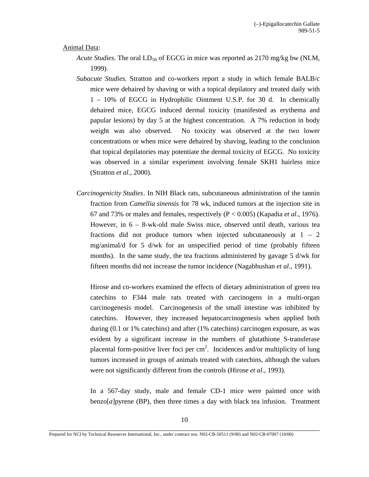#### Animal Data:

- *Acute Studies*. The oral LD<sub>50</sub> of EGCG in mice was reported as 2170 mg/kg bw (NLM, 1999).
- *Subacute Studies.* Stratton and co-workers report a study in which female BALB/c mice were dehaired by shaving or with a topical depilatory and treated daily with 1 – 10% of EGCG in Hydrophilic Ointment U.S.P. for 30 d. In chemically dehaired mice, EGCG induced dermal toxicity (manifested as erythema and papular lesions) by day 5 at the highest concentration. A 7% reduction in body weight was also observed. No toxicity was observed at the two lower concentrations or when mice were dehaired by shaving, leading to the conclusion that topical depilatories may potentiate the dermal toxicity of EGCG. No toxicity was observed in a similar experiment involving female SKH1 hairless mice (Stratton *et al*., 2000).
- *Carcinogenicity Studies*. In NIH Black rats, subcutaneous administration of the tannin fraction from *Camellia sinensis* for 78 wk, induced tumors at the injection site in 67 and 73% or males and females, respectively (P < 0.005) (Kapadia *et al*., 1976). However, in 6 – 8-wk-old male Swiss mice, observed until death, various tea fractions did not produce tumors when injected subcutaneously at  $1 - 2$ mg/animal/d for 5 d/wk for an unspecified period of time (probably fifteen months). In the same study, the tea fractions administered by gavage 5 d/wk for fifteen months did not increase the tumor incidence (Nagabhushan *et al*., 1991).

Hirose and co-workers examined the effects of dietary administration of green tea catechins to F344 male rats treated with carcinogens in a multi-organ carcinogenesis model. Carcinogenesis of the small intestine was inhibited by catechins. However, they increased hepatocarcinogenesis when applied both during (0.1 or 1% catechins) and after (1% catechins) carcinogen exposure, as was evident by a significant increase in the numbers of glutathione S-transferase placental form-positive liver foci per  $cm<sup>2</sup>$ . Incidences and/or multiplicity of lung tumors increased in groups of animals treated with catechins, although the values were not significantly different from the controls (Hirose *et al*., 1993).

In a 567-day study, male and female CD-1 mice were painted once with benzo $[a]$ pyrene (BP), then three times a day with black tea infusion. Treatment

Prepared for NCI by Technical Resources International, Inc., under contract nos. N02-CB-50511 (9/00) and N02-CB-07007 (10/00)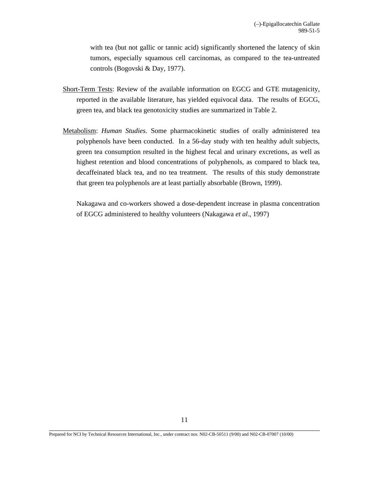with tea (but not gallic or tannic acid) significantly shortened the latency of skin tumors, especially squamous cell carcinomas, as compared to the tea-untreated controls (Bogovski & Day, 1977).

- Short-Term Tests: Review of the available information on EGCG and GTE mutagenicity, reported in the available literature, has yielded equivocal data. The results of EGCG, green tea, and black tea genotoxicity studies are summarized in Table 2.
- Metabolism: *Human Studies*. Some pharmacokinetic studies of orally administered tea polyphenols have been conducted. In a 56-day study with ten healthy adult subjects, green tea consumption resulted in the highest fecal and urinary excretions, as well as highest retention and blood concentrations of polyphenols, as compared to black tea, decaffeinated black tea, and no tea treatment. The results of this study demonstrate that green tea polyphenols are at least partially absorbable (Brown, 1999).

Nakagawa and co-workers showed a dose-dependent increase in plasma concentration of EGCG administered to healthy volunteers (Nakagawa *et al*., 1997)

Prepared for NCI by Technical Resources International, Inc., under contract nos. N02-CB-50511 (9/00) and N02-CB-07007 (10/00)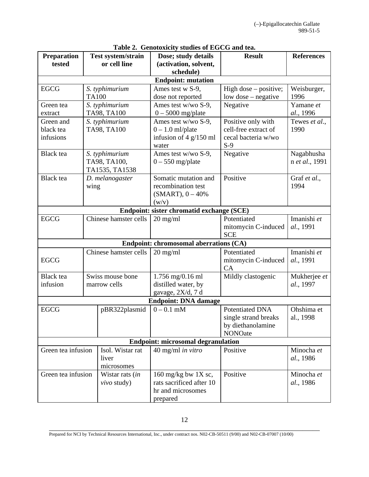| Preparation                               |              | <b>Test system/strain</b> | rabic 2. Genotomeny staures of EGCG and ica.<br>Dose; study details | <b>Result</b>           | <b>References</b> |
|-------------------------------------------|--------------|---------------------------|---------------------------------------------------------------------|-------------------------|-------------------|
| tested                                    |              | or cell line              | (activation, solvent,                                               |                         |                   |
|                                           |              |                           | schedule)                                                           |                         |                   |
|                                           |              |                           | <b>Endpoint: mutation</b>                                           |                         |                   |
| <b>EGCG</b>                               |              | S. typhimurium            | Ames test w S-9,                                                    | High dose $-$ positive; | Weisburger,       |
|                                           | <b>TA100</b> |                           | dose not reported                                                   | low dose - negative     | 1996              |
| Green tea                                 |              | S. typhimurium            | Ames test w/wo S-9,                                                 | Negative                | Yamane et         |
| extract                                   |              | TA98, TA100               | $0 - 5000$ mg/plate                                                 |                         | al., 1996         |
| Green and                                 |              | S. typhimurium            | Ames test w/wo S-9,                                                 | Positive only with      | Tewes et al.,     |
| black tea                                 |              | TA98, TA100               | $0 - 1.0$ ml/plate                                                  | cell-free extract of    | 1990              |
| infusions                                 |              |                           | infusion of $4$ g/150 ml                                            | cecal bacteria w/wo     |                   |
|                                           |              |                           | water                                                               | $S-9$                   |                   |
| <b>Black</b> tea                          |              | S. typhimurium            | Ames test w/wo S-9,                                                 | Negative                | Nagabhusha        |
|                                           |              | TA98, TA100,              | $0 - 550$ mg/plate                                                  |                         | n et al., 1991    |
|                                           |              | TA1535, TA1538            |                                                                     |                         |                   |
| <b>Black</b> tea                          |              | D. melanogaster           | Somatic mutation and                                                | Positive                | Graf et al.,      |
|                                           | wing         |                           | recombination test                                                  |                         | 1994              |
|                                           |              |                           | $(SMART), 0 - 40\%$                                                 |                         |                   |
|                                           |              |                           | (w/v)                                                               |                         |                   |
|                                           |              |                           | Endpoint: sister chromatid exchange (SCE)                           |                         |                   |
| <b>EGCG</b>                               |              | Chinese hamster cells     | $20 \text{ mg/ml}$                                                  | Potentiated             | Imanishi et       |
|                                           |              |                           |                                                                     | mitomycin C-induced     | al., 1991         |
|                                           | <b>SCE</b>   |                           |                                                                     |                         |                   |
|                                           |              |                           | Endpoint: chromosomal aberrations (CA)                              |                         |                   |
|                                           |              | Chinese hamster cells     | $20 \text{ mg/ml}$                                                  | Potentiated             | Imanishi et       |
| <b>EGCG</b>                               |              |                           |                                                                     | mitomycin C-induced     | al., 1991         |
|                                           |              |                           |                                                                     | CA                      |                   |
| <b>Black</b> tea                          |              | Swiss mouse bone          | $1.756$ mg/0.16 ml                                                  | Mildly clastogenic      | Mukherjee et      |
| infusion                                  |              | marrow cells              | distilled water, by                                                 |                         | al., 1997         |
|                                           |              |                           | gavage, 2X/d, 7 d                                                   |                         |                   |
| <b>Endpoint: DNA damage</b>               |              |                           |                                                                     |                         |                   |
| <b>EGCG</b>                               |              | pBR322plasmid             | $0 - 0.1$ mM                                                        | <b>Potentiated DNA</b>  | Ohshima et        |
|                                           |              |                           |                                                                     | single strand breaks    | al., 1998         |
|                                           |              |                           |                                                                     | by diethanolamine       |                   |
|                                           |              |                           |                                                                     | <b>NONOate</b>          |                   |
| <b>Endpoint: microsomal degranulation</b> |              |                           |                                                                     |                         |                   |
| Green tea infusion                        |              | Isol. Wistar rat          | 40 mg/ml in vitro                                                   | Positive                | Minocha et        |
|                                           |              | liver                     |                                                                     |                         | al., 1986         |
|                                           |              | microsomes                |                                                                     |                         |                   |
| Green tea infusion                        |              | Wistar rats (in           | 160 mg/kg bw $1X$ sc,                                               | Positive                | Minocha et        |
|                                           |              | vivo study)               | rats sacrificed after 10                                            |                         | al., 1986         |
|                                           |              |                           | hr and microsomes                                                   |                         |                   |
|                                           |              |                           | prepared                                                            |                         |                   |

# **Table 2. Genotoxicity studies of EGCG and tea.**

\_\_\_\_\_\_\_\_\_\_\_\_\_\_\_\_\_\_\_\_\_\_\_\_\_\_\_\_\_\_\_\_\_\_\_\_\_\_\_\_\_\_\_\_\_\_\_\_\_\_\_\_\_\_\_\_\_\_\_\_\_\_\_\_\_\_\_\_\_\_\_\_\_\_\_\_\_\_ Prepared for NCI by Technical Resources International, Inc., under contract nos. N02-CB-50511 (9/00) and N02-CB-07007 (10/00)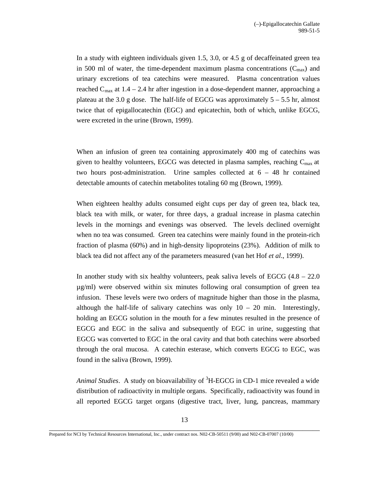In a study with eighteen individuals given 1.5, 3.0, or 4.5 g of decaffeinated green tea in 500 ml of water, the time-dependent maximum plasma concentrations  $(C_{\text{max}})$  and urinary excretions of tea catechins were measured. Plasma concentration values reached  $C_{\text{max}}$  at 1.4 – 2.4 hr after ingestion in a dose-dependent manner, approaching a plateau at the 3.0 g dose. The half-life of EGCG was approximately  $5 - 5.5$  hr, almost twice that of epigallocatechin (EGC) and epicatechin, both of which, unlike EGCG, were excreted in the urine (Brown, 1999).

When an infusion of green tea containing approximately 400 mg of catechins was given to healthy volunteers, EGCG was detected in plasma samples, reaching  $C_{\text{max}}$  at two hours post-administration. Urine samples collected at 6 – 48 hr contained detectable amounts of catechin metabolites totaling 60 mg (Brown, 1999).

When eighteen healthy adults consumed eight cups per day of green tea, black tea, black tea with milk, or water, for three days, a gradual increase in plasma catechin levels in the mornings and evenings was observed. The levels declined overnight when no tea was consumed. Green tea catechins were mainly found in the protein-rich fraction of plasma (60%) and in high-density lipoproteins (23%). Addition of milk to black tea did not affect any of the parameters measured (van het Hof *et al*., 1999).

In another study with six healthy volunteers, peak saliva levels of EGCG  $(4.8 - 22.0$ µg/ml) were observed within six minutes following oral consumption of green tea infusion. These levels were two orders of magnitude higher than those in the plasma, although the half-life of salivary catechins was only  $10 - 20$  min. Interestingly, holding an EGCG solution in the mouth for a few minutes resulted in the presence of EGCG and EGC in the saliva and subsequently of EGC in urine, suggesting that EGCG was converted to EGC in the oral cavity and that both catechins were absorbed through the oral mucosa. A catechin esterase, which converts EGCG to EGC, was found in the saliva (Brown, 1999).

Animal Studies. A study on bioavailability of <sup>3</sup>H-EGCG in CD-1 mice revealed a wide distribution of radioactivity in multiple organs. Specifically, radioactivity was found in all reported EGCG target organs (digestive tract, liver, lung, pancreas, mammary

Prepared for NCI by Technical Resources International, Inc., under contract nos. N02-CB-50511 (9/00) and N02-CB-07007 (10/00)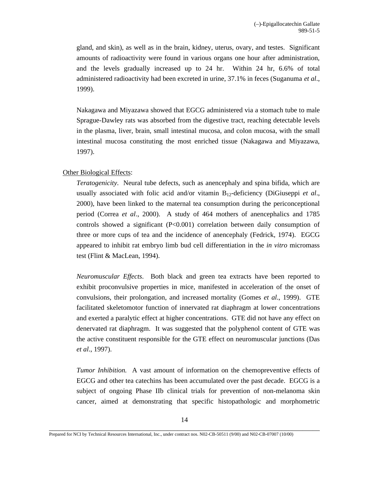gland, and skin), as well as in the brain, kidney, uterus, ovary, and testes. Significant amounts of radioactivity were found in various organs one hour after administration, and the levels gradually increased up to 24 hr. Within 24 hr, 6.6% of total administered radioactivity had been excreted in urine, 37.1% in feces (Suganuma *et al*., 1999).

Nakagawa and Miyazawa showed that EGCG administered via a stomach tube to male Sprague-Dawley rats was absorbed from the digestive tract, reaching detectable levels in the plasma, liver, brain, small intestinal mucosa, and colon mucosa, with the small intestinal mucosa constituting the most enriched tissue (Nakagawa and Miyazawa, 1997).

#### Other Biological Effects:

*Teratogenicity*. Neural tube defects, such as anencephaly and spina bifida, which are usually associated with folic acid and/or vitamin B12-deficiency (DiGiuseppi *et al*., 2000), have been linked to the maternal tea consumption during the periconceptional period (Correa *et al*., 2000). A study of 464 mothers of anencephalics and 1785 controls showed a significant (P<0.001) correlation between daily consumption of three or more cups of tea and the incidence of anencephaly (Fedrick, 1974). EGCG appeared to inhibit rat embryo limb bud cell differentiation in the *in vitro* micromass test (Flint & MacLean, 1994).

*Neuromuscular Effects*. Both black and green tea extracts have been reported to exhibit proconvulsive properties in mice, manifested in acceleration of the onset of convulsions, their prolongation, and increased mortality (Gomes *et al*., 1999). GTE facilitated skeletomotor function of innervated rat diaphragm at lower concentrations and exerted a paralytic effect at higher concentrations. GTE did not have any effect on denervated rat diaphragm. It was suggested that the polyphenol content of GTE was the active constituent responsible for the GTE effect on neuromuscular junctions (Das *et al*., 1997).

*Tumor Inhibition*. A vast amount of information on the chemopreventive effects of EGCG and other tea catechins has been accumulated over the past decade. EGCG is a subject of ongoing Phase IIb clinical trials for prevention of non-melanoma skin cancer, aimed at demonstrating that specific histopathologic and morphometric

Prepared for NCI by Technical Resources International, Inc., under contract nos. N02-CB-50511 (9/00) and N02-CB-07007 (10/00)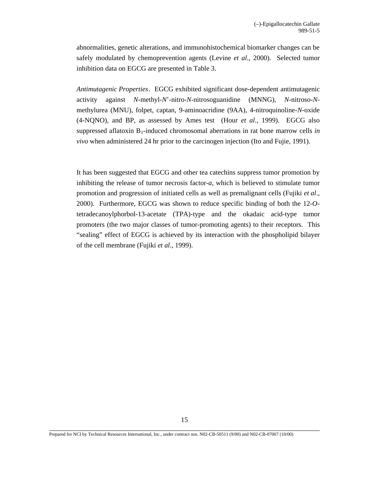abnormalities, genetic alterations, and immunohistochemical biomarker changes can be safely modulated by chemoprevention agents (Levine *et al*., 2000). Selected tumor inhibition data on EGCG are presented in Table 3.

*Antimutagenic Properties*. EGCG exhibited significant dose-dependent antimutagenic activity against *N*-methyl-*N*'-nitro-*N*-nitrosoguanidine (MNNG), *N*-nitroso-*N*methylurea (MNU), folpet, captan, 9-aminoacridine (9AA), 4-nitroquinoline-*N*-oxide (4-NQNO), and BP, as assessed by Ames test (Hour *et al*., 1999). EGCG also suppressed aflatoxin B1-induced chromosomal aberrations in rat bone marrow cells *in vivo* when administered 24 hr prior to the carcinogen injection (Ito and Fujie, 1991).

It has been suggested that EGCG and other tea catechins suppress tumor promotion by inhibiting the release of tumor necrosis factor-*a*, which is believed to stimulate tumor promotion and progression of initiated cells as well as premalignant cells (Fujiki *et al*., 2000). Furthermore, EGCG was shown to reduce specific binding of both the 12-*O*tetradecanoylphorbol-13-acetate (TPA)-type and the okadaic acid-type tumor promoters (the two major classes of tumor-promoting agents) to their receptors. This "sealing" effect of EGCG is achieved by its interaction with the phospholipid bilayer of the cell membrane (Fujiki *et al*., 1999).

Prepared for NCI by Technical Resources International, Inc., under contract nos. N02-CB-50511 (9/00) and N02-CB-07007 (10/00)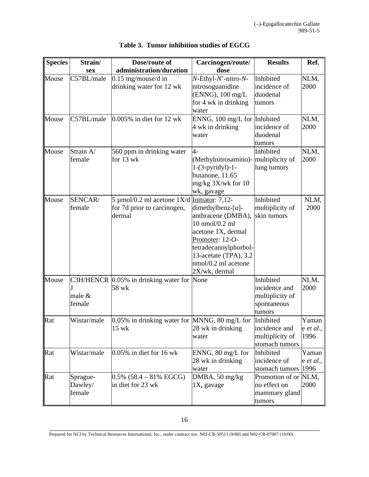| <b>Species</b> | Strain/     | Dose/route of                                           | Carcinogen/route/                    | <b>Results</b>       | Ref.                |
|----------------|-------------|---------------------------------------------------------|--------------------------------------|----------------------|---------------------|
|                | <b>sex</b>  | administration/duration                                 | dose                                 |                      |                     |
| Mouse          | C57BL/male  | $0.15$ mg/mouse/d in                                    | N-Ethyl-N'-nitro-N-                  | Inhibited            | NLM,                |
|                |             | drinking water for 12 wk                                | nitrosoguanidine                     | incidence of         | 2000                |
|                |             |                                                         | (ENNG), 100 mg/L                     | duodenal             |                     |
|                |             |                                                         | for 4 wk in drinking                 | tumors               |                     |
|                |             |                                                         | water                                |                      |                     |
| Mouse          | C57BL/male  | $0.005\%$ in diet for 12 wk                             | ENNG, 100 mg/L for Inhibited         |                      | NLM,                |
|                |             |                                                         | 4 wk in drinking                     | incidence of         | 2000                |
|                |             |                                                         | water                                | duodenal             |                     |
|                |             |                                                         |                                      | tumors               |                     |
| Mouse          | Strain A/   | 560 ppm in drinking water                               | $\overline{4}$ -                     | Inhibited            | NLM,                |
|                | female      | for 13 wk                                               | (Methylnitrosamino)- multiplicity of |                      | 2000                |
|                |             |                                                         | $1-(3-pyridy]-1-$                    | lung tumors          |                     |
|                |             |                                                         | butanone, 11.65                      |                      |                     |
|                |             |                                                         | mg/kg 3X/wk for 10                   |                      |                     |
|                |             |                                                         | wk, gavage                           |                      |                     |
| Mouse          | SENCAR/     | 5 µmol/0.2 ml acetone $1X/d$ Initiator: 7,12-           |                                      | Inhibited            | NLM,                |
|                | female      | for 7d prior to carcinogen,                             | dimethylbenz- $[a]$ -                | multiplicity of      | 2000                |
|                |             | dermal                                                  | anthracene (DMBA),                   | skin tumors          |                     |
|                |             |                                                         | 10 nmol/0.2 ml                       |                      |                     |
|                |             |                                                         | acetone 1X, dermal                   |                      |                     |
|                |             |                                                         | Promoter: 12-O-                      |                      |                     |
|                |             |                                                         | tetradecanoylphorbol-                |                      |                     |
|                |             |                                                         | 13-acetate (TPA), 3.2                |                      |                     |
|                |             |                                                         | nmol/0.2 ml acetone                  |                      |                     |
|                |             |                                                         | 2X/wk, dermal                        |                      |                     |
| Mouse          |             | C3H/HENCR 0.05% in drinking water for None              |                                      | Inhibited            | NLM,                |
|                |             | 58 wk                                                   |                                      | incidence and        | 2000                |
|                | male $&$    |                                                         |                                      | multiplicity of      |                     |
|                | female      |                                                         |                                      | spontaneous          |                     |
|                |             |                                                         |                                      | tumors               |                     |
| Rat            | Wistar/male | 0.05% in drinking water for MNNG, 80 mg/L for Inhibited |                                      |                      | Yaman               |
|                |             | 15 wk                                                   | 28 wk in drinking                    | incidence and        | $e$ <i>et al.</i> , |
|                |             |                                                         | water                                | multiplicity of      | 1996                |
|                |             |                                                         |                                      | stomach tumors       |                     |
| Rat            | Wistar/male | $0.05\%$ in diet for 16 wk                              | ENNG, 80 mg/L for                    | Inhibited            | Yaman               |
|                |             |                                                         | 28 wk in drinking                    | incidence of         | $e$ <i>et al.</i> , |
|                |             |                                                         | water                                | stomach tumors       | 1996                |
| Rat            | Sprague-    | $0.5\%$ (58.4 – 81% EGCG)                               | DMBA, 50 mg/kg                       | Promotion of or NLM, |                     |
|                | Dawley/     | in diet for 23 wk                                       | $1X$ , gavage                        | no effect on         | 2000                |
|                | female      |                                                         |                                      | mammary gland        |                     |
|                |             |                                                         |                                      | tumors               |                     |

# **Table 3. Tumor inhibition studies of EGCG**

Prepared for NCI by Technical Resources International, Inc., under contract nos. N02-CB-50511 (9/00) and N02-CB-07007 (10/00)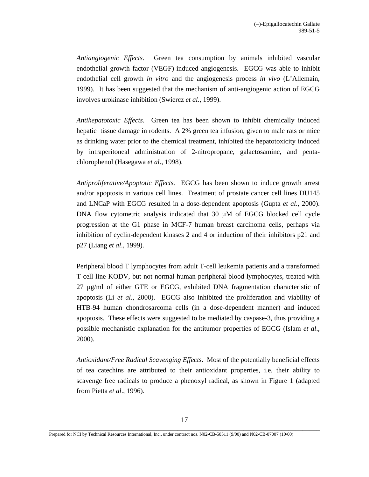*Antiangiogenic Effects*. Green tea consumption by animals inhibited vascular endothelial growth factor (VEGF)-induced angiogenesis. EGCG was able to inhibit endothelial cell growth *in vitro* and the angiogenesis process *in vivo* (L'Allemain, 1999). It has been suggested that the mechanism of anti-angiogenic action of EGCG involves urokinase inhibition (Swiercz *et al*., 1999).

*Antihepatotoxic Effects*. Green tea has been shown to inhibit chemically induced hepatic tissue damage in rodents. A 2% green tea infusion, given to male rats or mice as drinking water prior to the chemical treatment, inhibited the hepatotoxicity induced by intraperitoneal administration of 2-nitropropane, galactosamine, and pentachlorophenol (Hasegawa *et al*., 1998).

*Antiproliferative/Apoptotic Effects*. EGCG has been shown to induce growth arrest and/or apoptosis in various cell lines. Treatment of prostate cancer cell lines DU145 and LNCaP with EGCG resulted in a dose-dependent apoptosis (Gupta *et al*., 2000). DNA flow cytometric analysis indicated that  $30 \mu M$  of EGCG blocked cell cycle progression at the G1 phase in MCF-7 human breast carcinoma cells, perhaps via inhibition of cyclin-dependent kinases 2 and 4 or induction of their inhibitors p21 and p27 (Liang *et al*., 1999).

Peripheral blood T lymphocytes from adult T-cell leukemia patients and a transformed T cell line KODV, but not normal human peripheral blood lymphocytes, treated with 27 µg/ml of either GTE or EGCG, exhibited DNA fragmentation characteristic of apoptosis (Li *et al*., 2000). EGCG also inhibited the proliferation and viability of HTB-94 human chondrosarcoma cells (in a dose-dependent manner) and induced apoptosis. These effects were suggested to be mediated by caspase-3, thus providing a possible mechanistic explanation for the antitumor properties of EGCG (Islam *et al*., 2000).

*Antioxidant/Free Radical Scavenging Effects*. Most of the potentially beneficial effects of tea catechins are attributed to their antioxidant properties, i.e. their ability to scavenge free radicals to produce a phenoxyl radical, as shown in Figure 1 (adapted from Pietta *et al*., 1996).

Prepared for NCI by Technical Resources International, Inc., under contract nos. N02-CB-50511 (9/00) and N02-CB-07007 (10/00)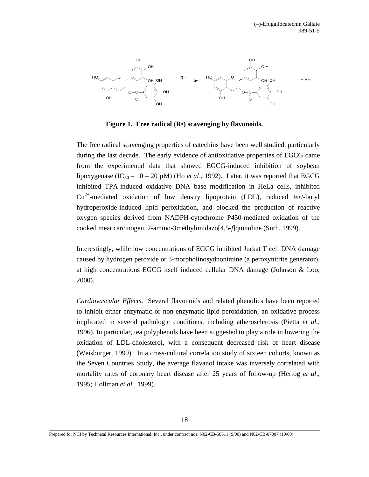

**Figure 1. Free radical (R•) scavenging by flavonoids.** 

The free radical scavenging properties of catechins have been well studied, particularly during the last decade. The early evidence of antioxidative properties of EGCG came from the experimental data that showed EGCG-induced inhibition of soybean lipoxygenase (IC<sub>50</sub> = 10 – 20  $\mu$ M) (Ho *et al.*, 1992). Later, it was reported that EGCG inhibited TPA-induced oxidative DNA base modification in HeLa cells, inhibited Cu2+-mediated oxidation of low density lipoprotein (LDL), reduced *tert*-butyl hydroperoxide-induced lipid peroxidation, and blocked the production of reactive oxygen species derived from NADPH-cytochrome P450-mediated oxidation of the cooked meat carcinogen, 2-amino-3methylimidazo[4,5-*f*]quinoline (Surh, 1999).

Interestingly, while low concentrations of EGCG inhibited Jurkat T cell DNA damage caused by hydrogen peroxide or 3-morpholinosydnonimine (a peroxynitrite generator), at high concentrations EGCG itself induced cellular DNA damage (Johnson & Loo, 2000).

*Cardiovascular Effects*. Several flavonoids and related phenolics have been reported to inhibit either enzymatic or non-enzymatic lipid peroxidation, an oxidative process implicated in several pathologic conditions, including atherosclerosis (Pietta *et al*., 1996). In particular, tea polyphenols have been suggested to play a role in lowering the oxidation of LDL-cholesterol, with a consequent decreased risk of heart disease (Weisburger, 1999). In a cross-cultural correlation study of sixteen cohorts, known as the Seven Countries Study, the average flavanol intake was inversely correlated with mortality rates of coronary heart disease after 25 years of follow-up (Hertog *et al*., 1995; Hollman *et al*., 1999).

Prepared for NCI by Technical Resources International, Inc., under contract nos. N02-CB-50511 (9/00) and N02-CB-07007 (10/00)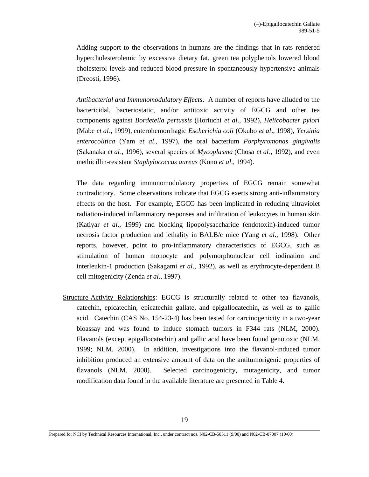Adding support to the observations in humans are the findings that in rats rendered hypercholesterolemic by excessive dietary fat, green tea polyphenols lowered blood cholesterol levels and reduced blood pressure in spontaneously hypertensive animals (Dreosti, 1996).

*Antibacterial and Immunomodulatory Effects*. A number of reports have alluded to the bactericidal, bacteriostatic, and/or antitoxic activity of EGCG and other tea components against *Bordetella pertussis* (Horiuchi *et al*., 1992), *Helicobacter pylori*  (Mabe *et al*., 1999), enterohemorrhagic *Escherichia coli* (Okubo *et al*., 1998), *Yersinia enterocolitica* (Yam *et al*., 1997), the oral bacterium *Porphyromonas gingivalis*  (Sakanaka *et al*., 1996), several species of *Mycoplasma* (Chosa *et al*., 1992), and even methicillin-resistant *Staphylococcus aureus* (Kono *et al*., 1994).

The data regarding immunomodulatory properties of EGCG remain somewhat contradictory. Some observations indicate that EGCG exerts strong anti-inflammatory effects on the host. For example, EGCG has been implicated in reducing ultraviolet radiation-induced inflammatory responses and infiltration of leukocytes in human skin (Katiyar *et al*., 1999) and blocking lipopolysaccharide (endotoxin)-induced tumor necrosis factor production and lethality in BALB/c mice (Yang *et al*., 1998). Other reports, however, point to pro-inflammatory characteristics of EGCG, such as stimulation of human monocyte and polymorphonuclear cell iodination and interleukin-1 production (Sakagami *et al*., 1992), as well as erythrocyte-dependent B cell mitogenicity (Zenda *et al*., 1997).

Structure-Activity Relationships: EGCG is structurally related to other tea flavanols, catechin, epicatechin, epicatechin gallate, and epigallocatechin, as well as to gallic acid. Catechin (CAS No. 154-23-4) has been tested for carcinogenicity in a two-year bioassay and was found to induce stomach tumors in F344 rats (NLM, 2000). Flavanols (except epigallocatechin) and gallic acid have been found genotoxic (NLM, 1999; NLM, 2000). In addition, investigations into the flavanol-induced tumor inhibition produced an extensive amount of data on the antitumorigenic properties of flavanols (NLM, 2000). Selected carcinogenicity, mutagenicity, and tumor modification data found in the available literature are presented in Table 4.

Prepared for NCI by Technical Resources International, Inc., under contract nos. N02-CB-50511 (9/00) and N02-CB-07007 (10/00)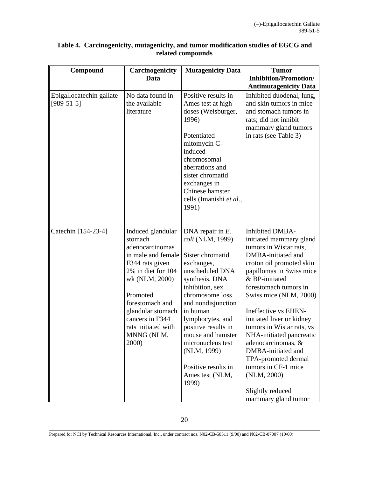| Compound                                 | Carcinogenicity                                                                                                                                                                                                                                       | <b>Mutagenicity Data</b>                                                                                                                                                                                                                                                                                                                      | <b>Tumor</b>                                                                                                                                                                                                                                                                                                                                                                                                                                                                                     |
|------------------------------------------|-------------------------------------------------------------------------------------------------------------------------------------------------------------------------------------------------------------------------------------------------------|-----------------------------------------------------------------------------------------------------------------------------------------------------------------------------------------------------------------------------------------------------------------------------------------------------------------------------------------------|--------------------------------------------------------------------------------------------------------------------------------------------------------------------------------------------------------------------------------------------------------------------------------------------------------------------------------------------------------------------------------------------------------------------------------------------------------------------------------------------------|
|                                          | Data                                                                                                                                                                                                                                                  |                                                                                                                                                                                                                                                                                                                                               | <b>Inhibition/Promotion/</b>                                                                                                                                                                                                                                                                                                                                                                                                                                                                     |
|                                          |                                                                                                                                                                                                                                                       |                                                                                                                                                                                                                                                                                                                                               | <b>Antimutagenicity Data</b>                                                                                                                                                                                                                                                                                                                                                                                                                                                                     |
| Epigallocatechin gallate<br>$[989-51-5]$ | No data found in<br>the available<br>literature                                                                                                                                                                                                       | Positive results in<br>Ames test at high<br>doses (Weisburger,<br>1996)<br>Potentiated<br>mitomycin C-<br>induced<br>chromosomal<br>aberrations and<br>sister chromatid<br>exchanges in<br>Chinese hamster<br>cells (Imanishi et al.,<br>1991)                                                                                                | Inhibited duodenal, lung,<br>and skin tumors in mice<br>and stomach tumors in<br>rats; did not inhibit<br>mammary gland tumors<br>in rats (see Table 3)                                                                                                                                                                                                                                                                                                                                          |
| Catechin [154-23-4]                      | Induced glandular<br>stomach<br>adenocarcinomas<br>in male and female<br>F344 rats given<br>2% in diet for 104<br>wk (NLM, 2000)<br>Promoted<br>forestomach and<br>glandular stomach<br>cancers in F344<br>rats initiated with<br>MNNG (NLM,<br>2000) | DNA repair in $E$ .<br>coli (NLM, 1999)<br>Sister chromatid<br>exchanges,<br>unscheduled DNA<br>synthesis, DNA<br>inhibition, sex<br>chromosome loss<br>and nondisjunction<br>in human<br>lymphocytes, and<br>positive results in<br>mouse and hamster<br>micronucleus test<br>(NLM, 1999)<br>Positive results in<br>Ames test (NLM,<br>1999) | <b>Inhibited DMBA-</b><br>initiated mammary gland<br>tumors in Wistar rats,<br>DMBA-initiated and<br>croton oil promoted skin<br>papillomas in Swiss mice<br>& BP-initiated<br>forestomach tumors in<br>Swiss mice (NLM, 2000)<br>Ineffective vs EHEN-<br>initiated liver or kidney<br>tumors in Wistar rats, vs<br>NHA-initiated pancreatic<br>adenocarcinomas, &<br>DMBA-initiated and<br>TPA-promoted dermal<br>tumors in CF-1 mice<br>(NLM, 2000)<br>Slightly reduced<br>mammary gland tumor |

# **Table 4. Carcinogenicity, mutagenicity, and tumor modification studies of EGCG and related compounds**

\_\_\_\_\_\_\_\_\_\_\_\_\_\_\_\_\_\_\_\_\_\_\_\_\_\_\_\_\_\_\_\_\_\_\_\_\_\_\_\_\_\_\_\_\_\_\_\_\_\_\_\_\_\_\_\_\_\_\_\_\_\_\_\_\_\_\_\_\_\_\_\_\_\_\_\_\_\_ Prepared for NCI by Technical Resources International, Inc., under contract nos. N02-CB-50511 (9/00) and N02-CB-07007 (10/00)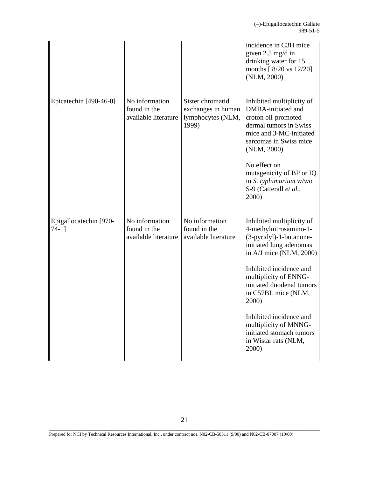|                                 |                                                        |                                                                      | incidence in C3H mice<br>given 2.5 mg/d in<br>drinking water for 15<br>months [ 8/20 vs 12/20]<br>(NLM, 2000)                                                        |
|---------------------------------|--------------------------------------------------------|----------------------------------------------------------------------|----------------------------------------------------------------------------------------------------------------------------------------------------------------------|
| Epicatechin [490-46-0]          | No information<br>found in the<br>available literature | Sister chromatid<br>exchanges in human<br>lymphocytes (NLM,<br>1999) | Inhibited multiplicity of<br>DMBA-initiated and<br>croton oil-promoted<br>dermal tumors in Swiss<br>mice and 3-MC-initiated<br>sarcomas in Swiss mice<br>(NLM, 2000) |
|                                 |                                                        |                                                                      | No effect on<br>mutagenicity of BP or IQ<br>in S. typhimurium w/wo<br>S-9 (Catterall et al.,<br>2000)                                                                |
| Epigallocatechin [970-<br>74-11 | No information<br>found in the<br>available literature | No information<br>found in the<br>available literature               | Inhibited multiplicity of<br>4-methylnitrosamino-1-<br>(3-pyridyl)-1-butanone-<br>initiated lung adenomas<br>in $A/J$ mice (NLM, 2000)                               |
|                                 |                                                        |                                                                      | Inhibited incidence and<br>multiplicity of ENNG-<br>initiated duodenal tumors<br>in C57BL mice (NLM,<br>2000)                                                        |
|                                 |                                                        |                                                                      | Inhibited incidence and<br>multiplicity of MNNG-<br>initiated stomach tumors<br>in Wistar rats (NLM,<br>2000)                                                        |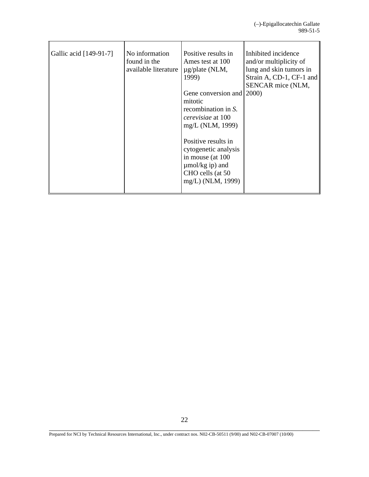| Gallic acid [149-91-7] | No information<br>found in the<br>available literature | Positive results in<br>Ames test at 100<br>$\mu$ g/plate (NLM,<br>1999)<br>Gene conversion and 2000)<br>mitotic<br>recombination in S.<br><i>cerevisiae</i> at 100<br>mg/L (NLM, 1999) | Inhibited incidence<br>and/or multiplicity of<br>lung and skin tumors in<br>Strain A, CD-1, CF-1 and<br>SENCAR mice (NLM, |
|------------------------|--------------------------------------------------------|----------------------------------------------------------------------------------------------------------------------------------------------------------------------------------------|---------------------------------------------------------------------------------------------------------------------------|
|                        |                                                        | Positive results in<br>cytogenetic analysis<br>in mouse (at 100<br>$\mu$ mol/kg ip) and<br>CHO cells (at 50<br>mg/L) (NLM, 1999)                                                       |                                                                                                                           |

Prepared for NCI by Technical Resources International, Inc., under contract nos. N02-CB-50511 (9/00) and N02-CB-07007 (10/00)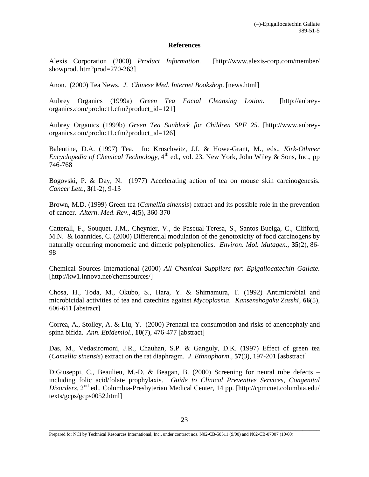## **References**

Alexis Corporation (2000) *Product Information*. [http://www.alexis-corp.com/member/ showprod. htm?prod=270-263]

Anon. (2000) Tea News. *J*. *Chinese Med*. *Internet Bookshop*. [news.html]

Aubrey Organics (1999a) *Green Tea Facial Cleansing Lotion*. [http://aubreyorganics.com/product1.cfm?product\_id=121]

Aubrey Organics (1999b) *Green Tea Sunblock for Children SPF 25*. [http://www.aubreyorganics.com/product1.cfm?product\_id=126]

Balentine, D.A. (1997) Tea. In: Kroschwitz, J.I. & Howe-Grant, M., eds., *Kirk-Othmer Encyclopedia of Chemical Technology*, 4<sup>th</sup> ed., vol. 23, New York, John Wiley & Sons, Inc., pp 746-768

Bogovski, P. & Day, N. (1977) Accelerating action of tea on mouse skin carcinogenesis. *Cancer Lett*., **3**(1-2), 9-13

Brown, M.D. (1999) Green tea (*Camellia sinensis*) extract and its possible role in the prevention of cancer. *Altern*. *Med*. *Rev*., **4**(5), 360-370

Catterall, F., Souquet, J.M., Cheynier, V., de Pascual-Teresa, S., Santos-Buelga, C., Clifford, M.N. & Ioannides, C. (2000) Differential modulation of the genotoxicity of food carcinogens by naturally occurring monomeric and dimeric polyphenolics. *Environ. Mol. Mutagen*., **35**(2), 86- 98

Chemical Sources International (2000) *All Chemical Suppliers for*: *Epigallocatechin Gallate*. [http://kw1.innova.net/chemsources/]

Chosa, H., Toda, M., Okubo, S., Hara, Y. & Shimamura, T. (1992) Antimicrobial and microbicidal activities of tea and catechins against *Mycoplasma*. *Kansenshogaku Zasshi*, **66**(5), 606-611 [abstract]

Correa, A., Stolley, A. & Liu, Y. (2000) Prenatal tea consumption and risks of anencephaly and spina bifida. *Ann*. *Epidemiol*., **10**(7), 476-477 [abstract]

Das, M., Vedasiromoni, J.R., Chauhan, S.P. & Ganguly, D.K. (1997) Effect of green tea (*Camellia sinensis*) extract on the rat diaphragm. *J*. *Ethnopharm*., **57**(3), 197-201 [asbstract]

DiGiuseppi, C., Beaulieu, M.-D. & Beagan, B. (2000) Screening for neural tube defects – including folic acid/folate prophylaxis. *Guide to Clinical Preventive Services*, *Congenital Disorders*, 2nd ed., Columbia-Presbyterian Medical Center, 14 pp. [http://cpmcnet.columbia.edu/ texts/gcps/gcps0052.html]

Prepared for NCI by Technical Resources International, Inc., under contract nos. N02-CB-50511 (9/00) and N02-CB-07007 (10/00)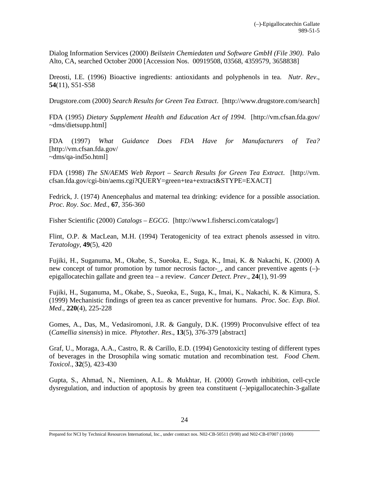Dialog Information Services (2000) *Beilstein Chemiedaten und Software GmbH (File 390)*. Palo Alto, CA, searched October 2000 [Accession Nos. 00919508, 03568, 4359579, 3658838]

Dreosti, I.E. (1996) Bioactive ingredients: antioxidants and polyphenols in tea. *Nutr*. *Rev*., **54**(11), S51-S58

Drugstore.com (2000) *Search Results for Green Tea Extract*. [http://www.drugstore.com/search]

FDA (1995) *Dietary Supplement Health and Education Act of 1994*. [http://vm.cfsan.fda.gov/ ~dms/dietsupp.html]

FDA (1997) *What Guidance Does FDA Have for Manufacturers of Tea?* [http://vm.cfsan.fda.gov/ ~dms/qa-ind5o.html]

FDA (1998) *The SN/AEMS Web Report – Search Results for Green Tea Extract*. [http://vm. cfsan.fda.gov/cgi-bin/aems.cgi?QUERY=green+tea+extract&STYPE=EXACT]

Fedrick, J. (1974) Anencephalus and maternal tea drinking: evidence for a possible association. *Proc*. *Roy*. *Soc*. *Med*., **67**, 356-360

Fisher Scientific (2000) *Catalogs – EGCG*. [http://www1.fishersci.com/catalogs/]

Flint, O.P. & MacLean, M.H. (1994) Teratogenicity of tea extract phenols assessed in vitro. *Teratology*, **49**(5), 420

Fujiki, H., Suganuma, M., Okabe, S., Sueoka, E., Suga, K., Imai, K. & Nakachi, K. (2000) A new concept of tumor promotion by tumor necrosis factor-\_, and cancer preventive agents (–) epigallocatechin gallate and green tea – a review. *Cancer Detect*. *Prev*., **24**(1), 91-99

Fujiki, H., Suganuma, M., Okabe, S., Sueoka, E., Suga, K., Imai, K., Nakachi, K. & Kimura, S. (1999) Mechanistic findings of green tea as cancer preventive for humans. *Proc*. *Soc*. *Exp*. *Biol*. *Med*., **220**(4), 225-228

Gomes, A., Das, M., Vedasiromoni, J.R. & Ganguly, D.K. (1999) Proconvulsive effect of tea (*Camellia sinensis*) in mice. *Phytother*. *Res*., **13**(5), 376-379 [abstract]

Graf, U., Moraga, A.A., Castro, R. & Carillo, E.D. (1994) Genotoxicity testing of different types of beverages in the Drosophila wing somatic mutation and recombination test. *Food Chem*. *Toxicol*., **32**(5), 423-430

Gupta, S., Ahmad, N., Nieminen, A.L. & Mukhtar, H. (2000) Growth inhibition, cell-cycle dysregulation, and induction of apoptosis by green tea constituent (–)epigallocatechin-3-gallate

Prepared for NCI by Technical Resources International, Inc., under contract nos. N02-CB-50511 (9/00) and N02-CB-07007 (10/00)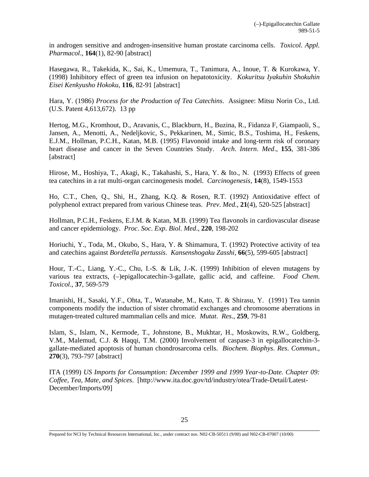in androgen sensitive and androgen-insensitive human prostate carcinoma cells. *Toxicol*. *Appl*. *Pharmacol*., **164**(1), 82-90 [abstract]

Hasegawa, R., Takekida, K., Sai, K., Umemura, T., Tanimura, A., Inoue, T. & Kurokawa, Y. (1998) Inhibitory effect of green tea infusion on hepatotoxicity. *Kokuritsu Iyakuhin Shokuhin Eisei Kenkyusho Hokoku*, **116**, 82-91 [abstract]

Hara, Y. (1986) *Process for the Production of Tea Catechins*. Assignee: Mitsu Norin Co., Ltd. (U.S. Patent 4,613,672). 13 pp

Hertog, M.G., Kromhout, D., Aravanis, C., Blackburn, H., Buzina, R., Fidanza F, Giampaoli, S., Jansen, A., Menotti, A., Nedeljkovic, S., Pekkarinen, M., Simic, B.S., Toshima, H., Feskens, E.J.M., Hollman, P.C.H., Katan, M.B. (1995) Flavonoid intake and long-term risk of coronary heart disease and cancer in the Seven Countries Study. *Arch*. *Intern*. *Med*., **155**, 381-386 [abstract]

Hirose, M., Hoshiya, T., Akagi, K., Takahashi, S., Hara, Y. & Ito., N. (1993) Effects of green tea catechins in a rat multi-organ carcinogenesis model. *Carcinogenesis*, **14**(8), 1549-1553

Ho, C.T., Chen, Q., Shi, H., Zhang, K.Q. & Rosen, R.T. (1992) Antioxidative effect of polyphenol extract prepared from various Chinese teas. *Prev*. *Med*., **21**(4), 520-525 [abstract]

Hollman, P.C.H., Feskens, E.J.M. & Katan, M.B. (1999) Tea flavonols in cardiovascular disease and cancer epidemiology. *Proc*. *Soc*. *Exp*. *Biol*. *Med*., **220**, 198-202

Horiuchi, Y., Toda, M., Okubo, S., Hara, Y. & Shimamura, T. (1992) Protective activity of tea and catechins against *Bordetella pertussis*. *Kansenshogaku Zasshi*, **66**(5), 599-605 [abstract]

Hour, T.-C., Liang, Y.-C., Chu, I.-S. & Lik, J.-K. (1999) Inhibition of eleven mutagens by various tea extracts, (–)epigallocatechin-3-gallate, gallic acid, and caffeine. *Food Chem*. *Toxicol*., **37**, 569-579

Imanishi, H., Sasaki, Y.F., Ohta, T., Watanabe, M., Kato, T. & Shirasu, Y. (1991) Tea tannin components modify the induction of sister chromatid exchanges and chromosome aberrations in mutagen-treated cultured mammalian cells and mice. *Mutat*. *Res*., **259**, 79-81

Islam, S., Islam, N., Kermode, T., Johnstone, B., Mukhtar, H., Moskowits, R.W., Goldberg, V.M., Malemud, C.J. & Haqqi, T.M. (2000) Involvement of caspase-3 in epigallocatechin-3 gallate-mediated apoptosis of human chondrosarcoma cells. *Biochem*. *Biophys*. *Res*. *Commun*., **270**(3), 793-797 [abstract]

ITA (1999) *US Imports for Consumption: December 1999 and 1999 Year-to-Date. Chapter 09: Coffee, Tea, Mate, and Spices*. [http://www.ita.doc.gov/td/industry/otea/Trade-Detail/Latest-December/Imports/09]

Prepared for NCI by Technical Resources International, Inc., under contract nos. N02-CB-50511 (9/00) and N02-CB-07007 (10/00)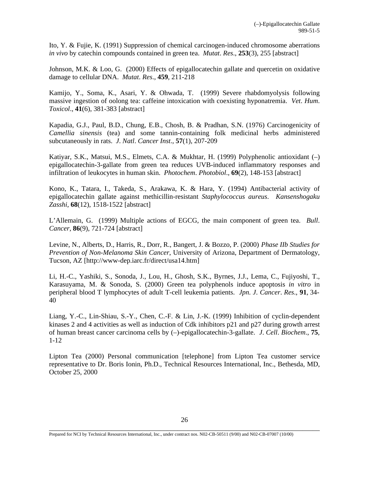Ito, Y. & Fujie, K. (1991) Suppression of chemical carcinogen-induced chromosome aberrations *in vivo* by catechin compounds contained in green tea. *Mutat*. *Res*., **253**(3), 255 [abstract]

Johnson, M.K. & Loo, G. (2000) Effects of epigallocatechin gallate and quercetin on oxidative damage to cellular DNA. *Mutat*. *Res*., **459**, 211-218

Kamijo, Y., Soma, K., Asari, Y. & Ohwada, T. (1999) Severe rhabdomyolysis following massive ingestion of oolong tea: caffeine intoxication with coexisting hyponatremia. *Vet*. *Hum*. *Toxicol*., **41**(6), 381-383 [abstract]

Kapadia, G.J., Paul, B.D., Chung, E.B., Chosh, B. & Pradhan, S.N. (1976) Carcinogenicity of *Camellia sinensis* (tea) and some tannin-containing folk medicinal herbs administered subcutaneously in rats. *J*. *Natl*. *Cancer Inst*., **57**(1), 207-209

Katiyar, S.K., Matsui, M.S., Elmets, C.A. & Mukhtar, H. (1999) Polyphenolic antioxidant (–) epigallocatechin-3-gallate from green tea reduces UVB-induced inflammatory responses and infiltration of leukocytes in human skin. *Photochem*. *Photobiol*., **69**(2), 148-153 [abstract]

Kono, K., Tatara, I., Takeda, S., Arakawa, K. & Hara, Y. (1994) Antibacterial activity of epigallocatechin gallate against methicillin-resistant *Staphylococcus aureus*. *Kansenshogaku Zasshi*, **68**(12), 1518-1522 [abstract]

L'Allemain, G. (1999) Multiple actions of EGCG, the main component of green tea. *Bull*. *Cancer*, **86**(9), 721-724 [abstract]

Levine, N., Alberts, D., Harris, R., Dorr, R., Bangert, J. & Bozzo, P. (2000) *Phase IIb Studies for Prevention of Non-Melanoma Skin Cancer*, University of Arizona, Department of Dermatology, Tucson, AZ [http://www-dep.iarc.fr/direct/usa14.htm]

Li, H.-C., Yashiki, S., Sonoda, J., Lou, H., Ghosh, S.K., Byrnes, J.J., Lema, C., Fujiyoshi, T., Karasuyama, M. & Sonoda, S. (2000) Green tea polyphenols induce apoptosis *in vitro* in peripheral blood T lymphocytes of adult T-cell leukemia patients. *Jpn*. *J*. *Cancer*. *Res*., **91**, 34- 40

Liang, Y.-C., Lin-Shiau, S.-Y., Chen, C.-F. & Lin, J.-K. (1999) Inhibition of cyclin-dependent kinases 2 and 4 activities as well as induction of Cdk inhibitors p21 and p27 during growth arrest of human breast cancer carcinoma cells by (–)-epigallocatechin-3-gallate. *J*. *Cell*. *Biochem*., **75**, 1-12

Lipton Tea (2000) Personal communication [telephone] from Lipton Tea customer service representative to Dr. Boris Ionin, Ph.D., Technical Resources International, Inc., Bethesda, MD, October 25, 2000

Prepared for NCI by Technical Resources International, Inc., under contract nos. N02-CB-50511 (9/00) and N02-CB-07007 (10/00)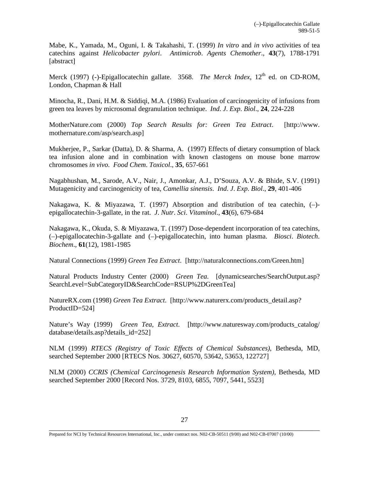Mabe, K., Yamada, M., Oguni, I. & Takahashi, T. (1999) *In vitro* and *in vivo* activities of tea catechins against *Helicobacter pylori*. *Antimicrob*. *Agents Chemother*., **43**(7), 1788-1791 [abstract]

Merck (1997) (-)-Epigallocatechin gallate. 3568. *The Merck Index*, 12<sup>th</sup> ed. on CD-ROM, London, Chapman & Hall

Minocha, R., Dani, H.M. & Siddiqi, M.A. (1986) Evaluation of carcinogenicity of infusions from green tea leaves by microsomal degranulation technique. *Ind*. *J*. *Exp*. *Biol*., **24**, 224-228

MotherNature.com (2000) *Top Search Results for: Green Tea Extract*. [http://www. mothernature.com/asp/search.asp]

Mukherjee, P., Sarkar (Datta), D. & Sharma, A. (1997) Effects of dietary consumption of black tea infusion alone and in combination with known clastogens on mouse bone marrow chromosomes *in vivo*. *Food Chem*. *Toxicol*., **35**, 657-661

Nagabhushan, M., Sarode, A.V., Nair, J., Amonkar, A.J., D'Souza, A.V. & Bhide, S.V. (1991) Mutagenicity and carcinogenicity of tea, *Camellia sinensis*. *Ind*. *J*. *Exp*. *Biol*., **29**, 401-406

Nakagawa, K. & Miyazawa, T. (1997) Absorption and distribution of tea catechin, (–) epigallocatechin-3-gallate, in the rat. *J*. *Nutr*. *Sci*. *Vitaminol*., **43**(6), 679-684

Nakagawa, K., Okuda, S. & Miyazawa, T. (1997) Dose-dependent incorporation of tea catechins, (–)-epigallocatechin-3-gallate and (–)-epigallocatechin, into human plasma. *Biosci*. *Biotech*. *Biochem*., **61**(12), 1981-1985

Natural Connections (1999) *Green Tea Extract*. [http://naturalconnections.com/Green.htm]

Natural Products Industry Center (2000) *Green Tea*. [dynamicsearches/SearchOutput.asp? SearchLevel=SubCategoryID&SearchCode=RSUP%2DGreenTea]

NatureRX.com (1998) *Green Tea Extract*. [http://www.naturerx.com/products\_detail.asp? ProductID=524]

Nature's Way (1999) *Green Tea, Extract*. [http://www.naturesway.com/products\_catalog/ database/details.asp?details\_id=252]

NLM (1999) *RTECS (Registry of Toxic Effects of Chemical Substances)*, Bethesda, MD, searched September 2000 [RTECS Nos. 30627, 60570, 53642, 53653, 122727]

NLM (2000) *CCRIS (Chemical Carcinogenesis Research Information System)*, Bethesda, MD searched September 2000 [Record Nos. 3729, 8103, 6855, 7097, 5441, 5523]

Prepared for NCI by Technical Resources International, Inc., under contract nos. N02-CB-50511 (9/00) and N02-CB-07007 (10/00)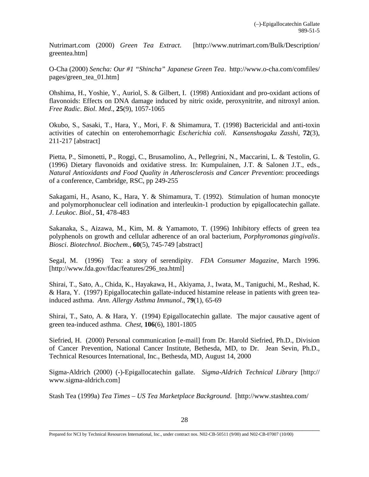Nutrimart.com (2000) *Green Tea Extract*. [http://www.nutrimart.com/Bulk/Description/ greentea.htm]

O-Cha (2000) *Sencha: Our #1 "Shincha" Japanese Green Tea*. http://www.o-cha.com/comfiles/ pages/green\_tea\_01.htm]

Ohshima, H., Yoshie, Y., Auriol, S. & Gilbert, I. (1998) Antioxidant and pro-oxidant actions of flavonoids: Effects on DNA damage induced by nitric oxide, peroxynitrite, and nitroxyl anion. *Free Radic*. *Biol*. *Med*., **25**(9), 1057-1065

Okubo, S., Sasaki, T., Hara, Y., Mori, F. & Shimamura, T. (1998) Bactericidal and anti-toxin activities of catechin on enterohemorrhagic *Escherichia coli*. *Kansenshogaku Zasshi*, **72**(3), 211-217 [abstract]

Pietta, P., Simonetti, P., Roggi, C., Brusamolino, A., Pellegrini, N., Maccarini, L. & Testolin, G. (1996) Dietary flavonoids and oxidative stress. In: Kumpulainen, J.T. & Salonen J.T., eds., *Natural Antioxidants and Food Quality in Atherosclerosis and Cancer Prevention*: proceedings of a conference, Cambridge, RSC, pp 249-255

Sakagami, H., Asano, K., Hara, Y. & Shimamura, T. (1992). Stimulation of human monocyte and polymorphonuclear cell iodination and interleukin-1 production by epigallocatechin gallate. *J*. *Leukoc*. *Biol*., **51**, 478-483

Sakanaka, S., Aizawa, M., Kim, M. & Yamamoto, T. (1996) Inhibitory effects of green tea polyphenols on growth and cellular adherence of an oral bacterium, *Porphyromonas gingivalis*. *Biosci*. *Biotechnol*. *Biochem*., **60**(5), 745-749 [abstract]

Segal, M. (1996) Tea: a story of serendipity. *FDA Consumer Magazine*, March 1996. [http://www.fda.gov/fdac/features/296\_tea.html]

Shirai, T., Sato, A., Chida, K., Hayakawa, H., Akiyama, J., Iwata, M., Taniguchi, M., Reshad, K. & Hara, Y. (1997) Epigallocatechin gallate-induced histamine release in patients with green teainduced asthma. *Ann*. *Allergy Asthma Immunol*., **79**(1), 65-69

Shirai, T., Sato, A. & Hara, Y. (1994) Epigallocatechin gallate. The major causative agent of green tea-induced asthma. *Chest*, **106**(6), 1801-1805

Siefried, H. (2000) Personal communication [e-mail] from Dr. Harold Siefried, Ph.D., Division of Cancer Prevention, National Cancer Institute, Bethesda, MD, to Dr. Jean Sevin, Ph.D., Technical Resources International, Inc., Bethesda, MD, August 14, 2000

Sigma-Aldrich (2000) (-)-Epigallocatechin gallate. *Sigma-Aldrich Technical Library* [http:// www.sigma-aldrich.com]

Stash Tea (1999a) *Tea Times – US Tea Marketplace Background*. [http://www.stashtea.com/

Prepared for NCI by Technical Resources International, Inc., under contract nos. N02-CB-50511 (9/00) and N02-CB-07007 (10/00)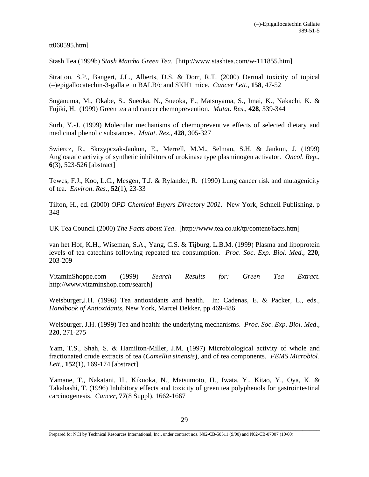tt060595.htm]

Stash Tea (1999b) *Stash Matcha Green Tea*. [http://www.stashtea.com/w-111855.htm]

Stratton, S.P., Bangert, J.L., Alberts, D.S. & Dorr, R.T. (2000) Dermal toxicity of topical (–)epigallocatechin-3-gallate in BALB/c and SKH1 mice. *Cancer Lett*., **158**, 47-52

Suganuma, M., Okabe, S., Sueoka, N., Sueoka, E., Matsuyama, S., Imai, K., Nakachi, K. & Fujiki, H. (1999) Green tea and cancer chemoprevention. *Mutat*. *Res*., **428**, 339-344

Surh, Y.-J. (1999) Molecular mechanisms of chemopreventive effects of selected dietary and medicinal phenolic substances. *Mutat*. *Res*., **428**, 305-327

Swiercz, R., Skrzypczak-Jankun, E., Merrell, M.M., Selman, S.H. & Jankun, J. (1999) Angiostatic activity of synthetic inhibitors of urokinase type plasminogen activator. *Oncol*. *Rep*., **6**(3), 523-526 [abstract]

Tewes, F.J., Koo, L.C., Mesgen, T.J. & Rylander, R. (1990) Lung cancer risk and mutagenicity of tea. *Environ*. *Res*., **52**(1), 23-33

Tilton, H., ed. (2000) *OPD Chemical Buyers Directory 2001*. New York, Schnell Publishing, p 348

UK Tea Council (2000) *The Facts about Tea*. [http://www.tea.co.uk/tp/content/facts.htm]

van het Hof, K.H., Wiseman, S.A., Yang, C.S. & Tijburg, L.B.M. (1999) Plasma and lipoprotein levels of tea catechins following repeated tea consumption. *Proc*. *Soc*. *Exp*. *Biol*. *Med*., **220**, 203-209

VitaminShoppe.com (1999) *Search Results for: Green Tea Extract*. http://www.vitaminshop.com/search]

Weisburger,J.H. (1996) Tea antioxidants and health. In: Cadenas, E. & Packer, L., eds., *Handbook of Antioxidants*, New York, Marcel Dekker, pp 469-486

Weisburger, J.H. (1999) Tea and health: the underlying mechanisms. *Proc*. *Soc*. *Exp*. *Biol*. *Med*., **220**, 271-275

Yam, T.S., Shah, S. & Hamilton-Miller, J.M. (1997) Microbiological activity of whole and fractionated crude extracts of tea (*Camellia sinensis*), and of tea components. *FEMS Microbiol*. *Lett*., **152**(1), 169-174 [abstract]

Yamane, T., Nakatani, H., Kikuoka, N., Matsumoto, H., Iwata, Y., Kitao, Y., Oya, K. & Takahashi, T. (1996) Inhibitory effects and toxicity of green tea polyphenols for gastrointestinal carcinogenesis. *Cancer*, **77**(8 Suppl), 1662-1667

Prepared for NCI by Technical Resources International, Inc., under contract nos. N02-CB-50511 (9/00) and N02-CB-07007 (10/00)